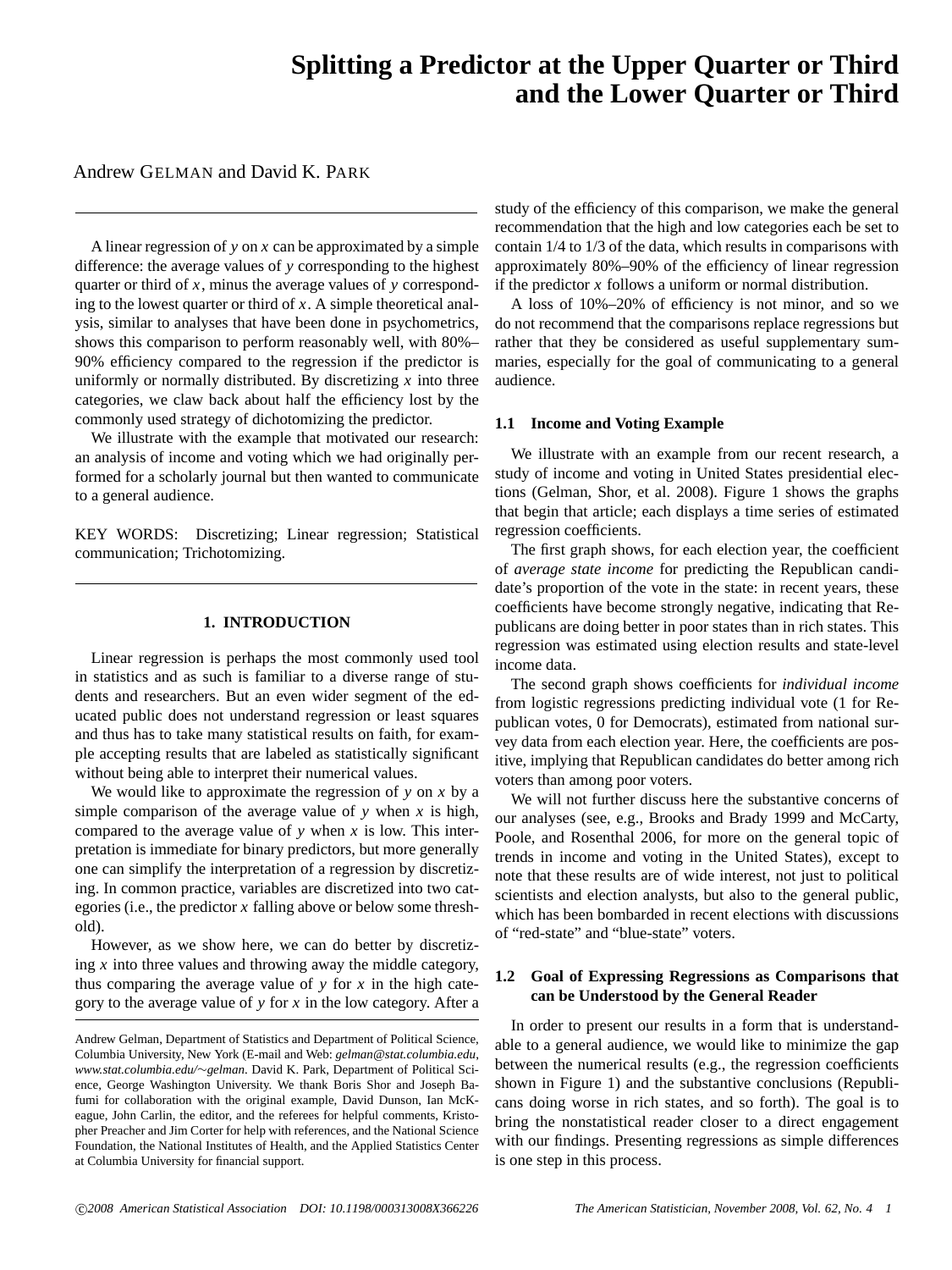# **Splitting a Predictor at the Upper Quarter or Third and the Lower Quarter or Third**

Andrew GELMAN and David K. PARK

A linear regression of *y* on *x* can be approximated by a simple difference: the average values of *y* corresponding to the highest quarter or third of *x*, minus the average values of *y* corresponding to the lowest quarter or third of *x*. A simple theoretical analysis, similar to analyses that have been done in psychometrics, shows this comparison to perform reasonably well, with 80%– 90% efficiency compared to the regression if the predictor is uniformly or normally distributed. By discretizing *x* into three categories, we claw back about half the efficiency lost by the commonly used strategy of dichotomizing the predictor.

We illustrate with the example that motivated our research: an analysis of income and voting which we had originally performed for a scholarly journal but then wanted to communicate to a general audience.

KEY WORDS: Discretizing; Linear regression; Statistical communication; Trichotomizing.

## **1. INTRODUCTION**

Linear regression is perhaps the most commonly used tool in statistics and as such is familiar to a diverse range of students and researchers. But an even wider segment of the educated public does not understand regression or least squares and thus has to take many statistical results on faith, for example accepting results that are labeled as statistically significant without being able to interpret their numerical values.

We would like to approximate the regression of  $y$  on  $x$  by a simple comparison of the average value of *y* when *x* is high, compared to the average value of  $y$  when  $x$  is low. This interpretation is immediate for binary predictors, but more generally one can simplify the interpretation of a regression by discretizing. In common practice, variables are discretized into two categories (i.e., the predictor *x* falling above or below some threshold).

However, as we show here, we can do better by discretizing *x* into three values and throwing away the middle category, thus comparing the average value of *y* for *x* in the high category to the average value of *y* for *x* in the low category. After a study of the efficiency of this comparison, we make the general recommendation that the high and low categories each be set to contain 1/4 to 1/3 of the data, which results in comparisons with approximately 80%–90% of the efficiency of linear regression if the predictor *x* follows a uniform or normal distribution.

A loss of 10%–20% of efficiency is not minor, and so we do not recommend that the comparisons replace regressions but rather that they be considered as useful supplementary summaries, especially for the goal of communicating to a general audience.

#### **1.1 Income and Voting Example**

We illustrate with an example from our recent research, a study of income and voting in United States presidential elections (Gelman, Shor, et al. 2008). Figure 1 shows the graphs that begin that article; each displays a time series of estimated regression coefficients.

The first graph shows, for each election year, the coefficient of *average state income* for predicting the Republican candidate's proportion of the vote in the state: in recent years, these coefficients have become strongly negative, indicating that Republicans are doing better in poor states than in rich states. This regression was estimated using election results and state-level income data.

The second graph shows coefficients for *individual income* from logistic regressions predicting individual vote (1 for Republican votes, 0 for Democrats), estimated from national survey data from each election year. Here, the coefficients are positive, implying that Republican candidates do better among rich voters than among poor voters.

We will not further discuss here the substantive concerns of our analyses (see, e.g., Brooks and Brady 1999 and McCarty, Poole, and Rosenthal 2006, for more on the general topic of trends in income and voting in the United States), except to note that these results are of wide interest, not just to political scientists and election analysts, but also to the general public, which has been bombarded in recent elections with discussions of "red-state" and "blue-state" voters.

## **1.2 Goal of Expressing Regressions as Comparisons that can be Understood by the General Reader**

In order to present our results in a form that is understandable to a general audience, we would like to minimize the gap between the numerical results (e.g., the regression coefficients shown in Figure 1) and the substantive conclusions (Republicans doing worse in rich states, and so forth). The goal is to bring the nonstatistical reader closer to a direct engagement with our findings. Presenting regressions as simple differences is one step in this process.

Andrew Gelman, Department of Statistics and Department of Political Science, Columbia University, New York (E-mail and Web: *gelman@stat.columbia.edu*, *www.stat.columbia.edu/*∼*gelman*. David K. Park, Department of Political Science, George Washington University. We thank Boris Shor and Joseph Bafumi for collaboration with the original example, David Dunson, Ian McKeague, John Carlin, the editor, and the referees for helpful comments, Kristopher Preacher and Jim Corter for help with references, and the National Science Foundation, the National Institutes of Health, and the Applied Statistics Center at Columbia University for financial support.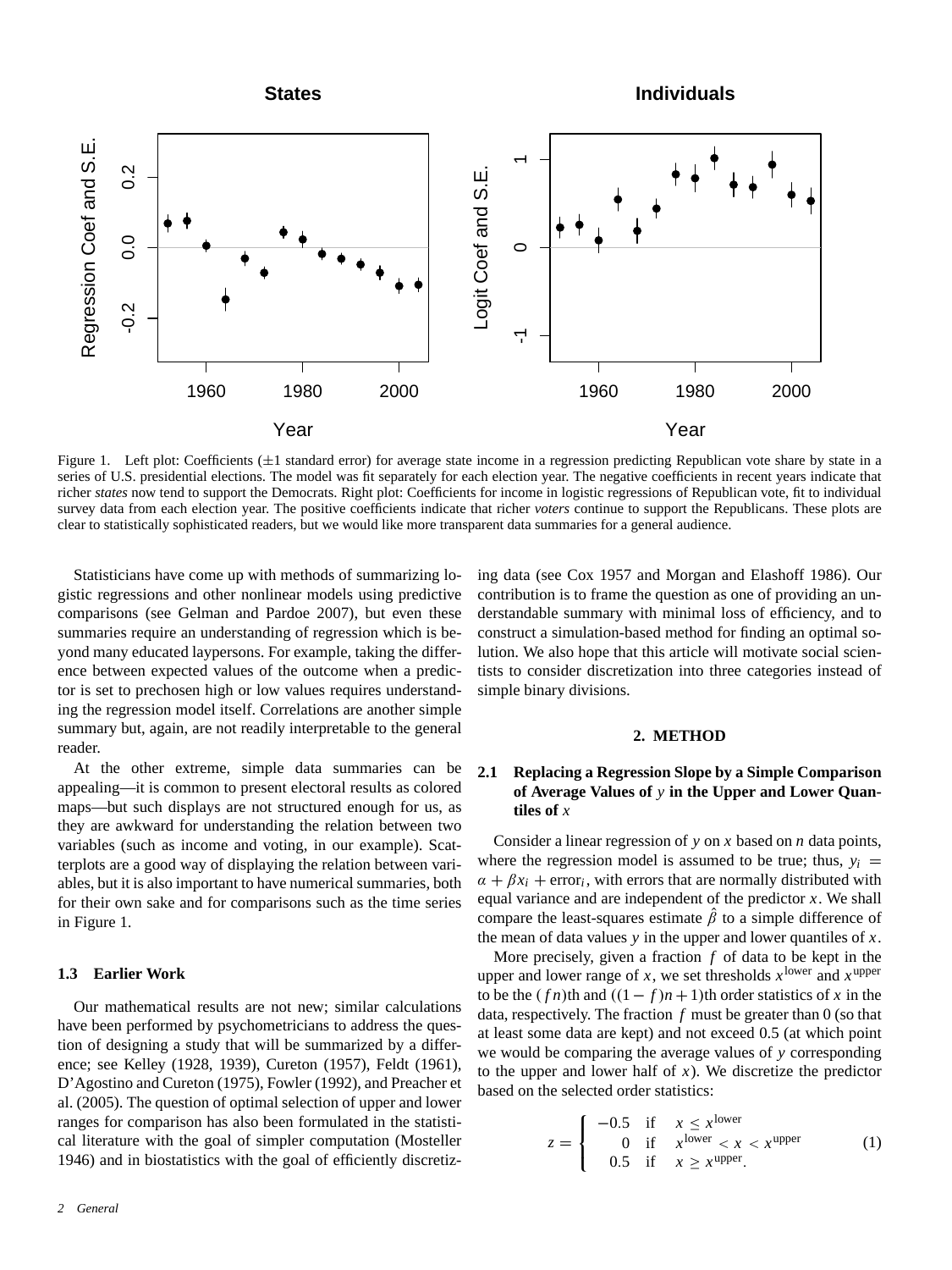

Figure 1. Left plot: Coefficients ( $\pm 1$  standard error) for average state income in a regression predicting Republican vote share by state in a series of U.S. presidential elections. The model was fit separately for each election year. The negative coefficients in recent years indicate that richer *states* now tend to support the Democrats. Right plot: Coefficients for income in logistic regressions of Republican vote, fit to individual survey data from each election year. The positive coefficients indicate that richer *voters* continue to support the Republicans. These plots are clear to statistically sophisticated readers, but we would like more transparent data summaries for a general audience.

Statisticians have come up with methods of summarizing logistic regressions and other nonlinear models using predictive comparisons (see Gelman and Pardoe 2007), but even these summaries require an understanding of regression which is beyond many educated laypersons. For example, taking the difference between expected values of the outcome when a predictor is set to prechosen high or low values requires understanding the regression model itself. Correlations are another simple summary but, again, are not readily interpretable to the general reader.

At the other extreme, simple data summaries can be appealing—it is common to present electoral results as colored maps—but such displays are not structured enough for us, as they are awkward for understanding the relation between two variables (such as income and voting, in our example). Scatterplots are a good way of displaying the relation between variables, but it is also important to have numerical summaries, both for their own sake and for comparisons such as the time series in Figure 1.

#### **1.3 Earlier Work**

Our mathematical results are not new; similar calculations have been performed by psychometricians to address the question of designing a study that will be summarized by a difference; see Kelley (1928, 1939), Cureton (1957), Feldt (1961), D'Agostino and Cureton (1975), Fowler (1992), and Preacher et al. (2005). The question of optimal selection of upper and lower ranges for comparison has also been formulated in the statistical literature with the goal of simpler computation (Mosteller 1946) and in biostatistics with the goal of efficiently discretizing data (see Cox 1957 and Morgan and Elashoff 1986). Our contribution is to frame the question as one of providing an understandable summary with minimal loss of efficiency, and to construct a simulation-based method for finding an optimal solution. We also hope that this article will motivate social scientists to consider discretization into three categories instead of simple binary divisions.

#### **2. METHOD**

# **2.1 Replacing a Regression Slope by a Simple Comparison of Average Values of** *y* **in the Upper and Lower Quantiles of** *x*

Consider a linear regression of *y* on *x* based on *n* data points, where the regression model is assumed to be true; thus,  $y_i$  =  $\alpha + \beta x_i$  + error<sub>i</sub>, with errors that are normally distributed with equal variance and are independent of the predictor *x*. We shall compare the least-squares estimate  $\beta$  to a simple difference of the mean of data values *y* in the upper and lower quantiles of *x*.

More precisely, given a fraction *f* of data to be kept in the upper and lower range of *x*, we set thresholds  $x^{\text{lower}}$  and  $x^{\text{upper}}$ to be the  $(fn)$ th and  $((1-f)n + 1)$ th order statistics of *x* in the data, respectively. The fraction *f* must be greater than 0 (so that at least some data are kept) and not exceed 0.5 (at which point we would be comparing the average values of *y* corresponding to the upper and lower half of  $x$ ). We discretize the predictor based on the selected order statistics:

$$
z = \begin{cases}\n-0.5 & \text{if } x \leq x^{\text{lower}} \\
0 & \text{if } x^{\text{lower}} < x < x^{\text{upper}} \\
0.5 & \text{if } x \geq x^{\text{upper}}.\n\end{cases} \tag{1}
$$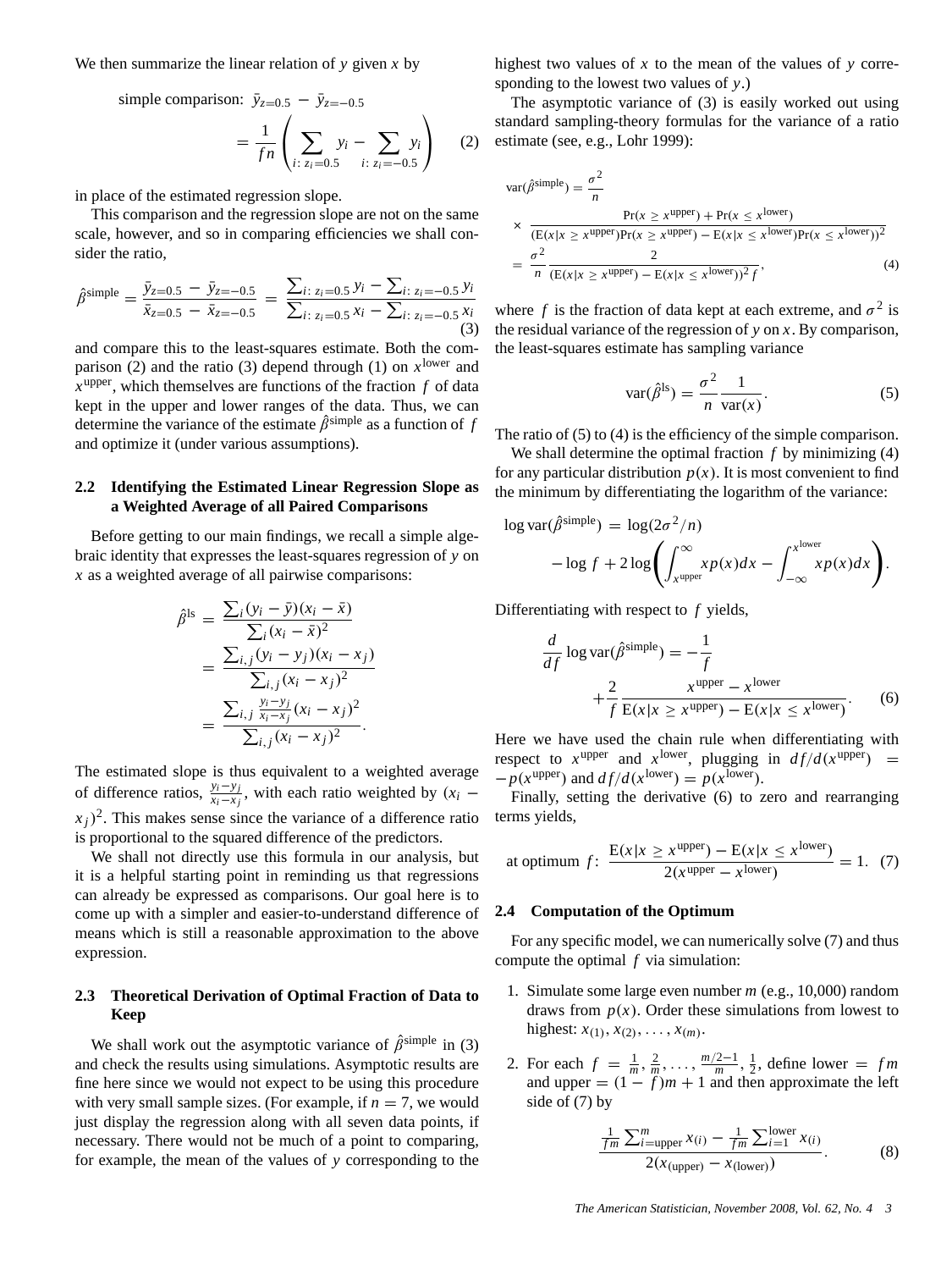We then summarize the linear relation of *y* given *x* by

simple comparison: 
$$
\bar{y}_{z=0.5} - \bar{y}_{z=-0.5}
$$
  
=  $\frac{1}{fn} \left( \sum_{i: z_i=0.5} y_i - \sum_{i: z_i=-0.5} y_i \right)$  (2)

in place of the estimated regression slope.

This comparison and the regression slope are not on the same scale, however, and so in comparing efficiencies we shall consider the ratio,

$$
\hat{\beta}^{\text{simple}} = \frac{\bar{y}_{z=0.5} - \bar{y}_{z=-0.5}}{\bar{x}_{z=0.5} - \bar{x}_{z=-0.5}} = \frac{\sum_{i: z_i=0.5} y_i - \sum_{i: z_i=-0.5} y_i}{\sum_{i: z_i=0.5} x_i - \sum_{i: z_i=-0.5} x_i}
$$
\n(3)

and compare this to the least-squares estimate. Both the comparison (2) and the ratio (3) depend through (1) on  $x^{\text{lower}}$  and  $x^{\text{upper}}$ , which themselves are functions of the fraction  $f$  of data kept in the upper and lower ranges of the data. Thus, we can determine the variance of the estimate  $\hat{\beta}^{\text{simple}}$  as a function of *f* and optimize it (under various assumptions).

## **2.2 Identifying the Estimated Linear Regression Slope as a Weighted Average of all Paired Comparisons**

Before getting to our main findings, we recall a simple algebraic identity that expresses the least-squares regression of *y* on *x* as a weighted average of all pairwise comparisons:

$$
\hat{\beta}^{\text{ls}} = \frac{\sum_{i} (y_i - \bar{y})(x_i - \bar{x})}{\sum_{i} (x_i - \bar{x})^2}
$$

$$
= \frac{\sum_{i,j} (y_i - y_j)(x_i - x_j)}{\sum_{i,j} (x_i - x_j)^2}
$$

$$
= \frac{\sum_{i,j} \frac{y_i - y_j}{x_i - x_j}(x_i - x_j)^2}{\sum_{i,j} (x_i - x_j)^2}.
$$

The estimated slope is thus equivalent to a weighted average of difference ratios,  $\frac{y_i - y_j}{x_i - x_j}$ , with each ratio weighted by  $(x_i$  $x_i$ )<sup>2</sup>. This makes sense since the variance of a difference ratio is proportional to the squared difference of the predictors.

We shall not directly use this formula in our analysis, but it is a helpful starting point in reminding us that regressions can already be expressed as comparisons. Our goal here is to come up with a simpler and easier-to-understand difference of means which is still a reasonable approximation to the above expression.

# **2.3 Theoretical Derivation of Optimal Fraction of Data to Keep**

We shall work out the asymptotic variance of  $\hat{\beta}^{\text{simple}}$  in (3) and check the results using simulations. Asymptotic results are fine here since we would not expect to be using this procedure with very small sample sizes. (For example, if  $n = 7$ , we would just display the regression along with all seven data points, if necessary. There would not be much of a point to comparing, for example, the mean of the values of *y* corresponding to the

highest two values of *x* to the mean of the values of *y* corresponding to the lowest two values of *y*.)

The asymptotic variance of (3) is easily worked out using standard sampling-theory formulas for the variance of a ratio estimate (see, e.g., Lohr 1999):

$$
var(\hat{\beta}^{simple}) = \frac{\sigma^2}{n}
$$
  
\n
$$
\times \frac{Pr(x \ge x^{upper}) + Pr(x \le x^{lower})}{(E(x|x \ge x^{upper})Pr(x \ge x^{upper}) - E(x|x \le x^{lower})Pr(x \le x^{lower}))^2}
$$
  
\n
$$
= \frac{\sigma^2}{n} \frac{2}{(E(x|x \ge x^{upper}) - E(x|x \le x^{lower}))^2 f},
$$
\n(4)

where *f* is the fraction of data kept at each extreme, and  $\sigma^2$  is the residual variance of the regression of *y* on *x*. By comparison, the least-squares estimate has sampling variance

$$
\text{var}(\hat{\beta}^{\text{ls}}) = \frac{\sigma^2}{n} \frac{1}{\text{var}(x)}.\tag{5}
$$

The ratio of (5) to (4) is the efficiency of the simple comparison.

We shall determine the optimal fraction *f* by minimizing (4) for any particular distribution  $p(x)$ . It is most convenient to find the minimum by differentiating the logarithm of the variance:

$$
\log \operatorname{var}(\hat{\beta}^{\text{simple}}) = \log(2\sigma^2/n)
$$

$$
- \log f + 2 \log \left( \int_{x^{\text{upper}}}^{\infty} x p(x) dx - \int_{-\infty}^{x^{\text{lower}}} x p(x) dx \right).
$$

Differentiating with respect to *f* yields,

$$
\frac{d}{df} \log \operatorname{var}(\hat{\beta}^{\text{simple}}) = -\frac{1}{f}
$$

$$
+\frac{2}{f} \frac{x^{\text{upper}} - x^{\text{lower}}}{E(x|x \geq x^{\text{upper}}) - E(x|x \leq x^{\text{lower}})}.
$$
(6)

Here we have used the chain rule when differentiating with respect to  $x^{upper}$  and  $x^{lower}$ , plugging in  $df/d(x^{upper})$  =  $-p(x^{upper})$  and  $df/d(x^{lower}) = p(x^{lower})$ .

Finally, setting the derivative (6) to zero and rearranging terms yields,

at optimum 
$$
f
$$
: 
$$
\frac{E(x|x \ge x^{\text{upper}}) - E(x|x \le x^{\text{lower}})}{2(x^{\text{upper}} - x^{\text{lower}})} = 1. (7)
$$

## **2.4 Computation of the Optimum**

For any specific model, we can numerically solve (7) and thus compute the optimal *f* via simulation:

- 1. Simulate some large even number *m* (e.g., 10,000) random draws from  $p(x)$ . Order these simulations from lowest to highest:  $x_{(1)}, x_{(2)}, \ldots, x_{(m)}$ .
- 2. For each  $f = \frac{1}{m}, \frac{2}{m}, \ldots, \frac{m/2-1}{m}, \frac{1}{2}$ , define lower = *fm* and upper  $= (1 - f)m + 1$  and then approximate the left side of (7) by

$$
\frac{\frac{1}{fm}\sum_{i=\text{upper}}^m x_{(i)} - \frac{1}{fm}\sum_{i=1}^{\text{lower}} x_{(i)}}{2(x_{(\text{upper})} - x_{(\text{lower})})}.
$$
(8)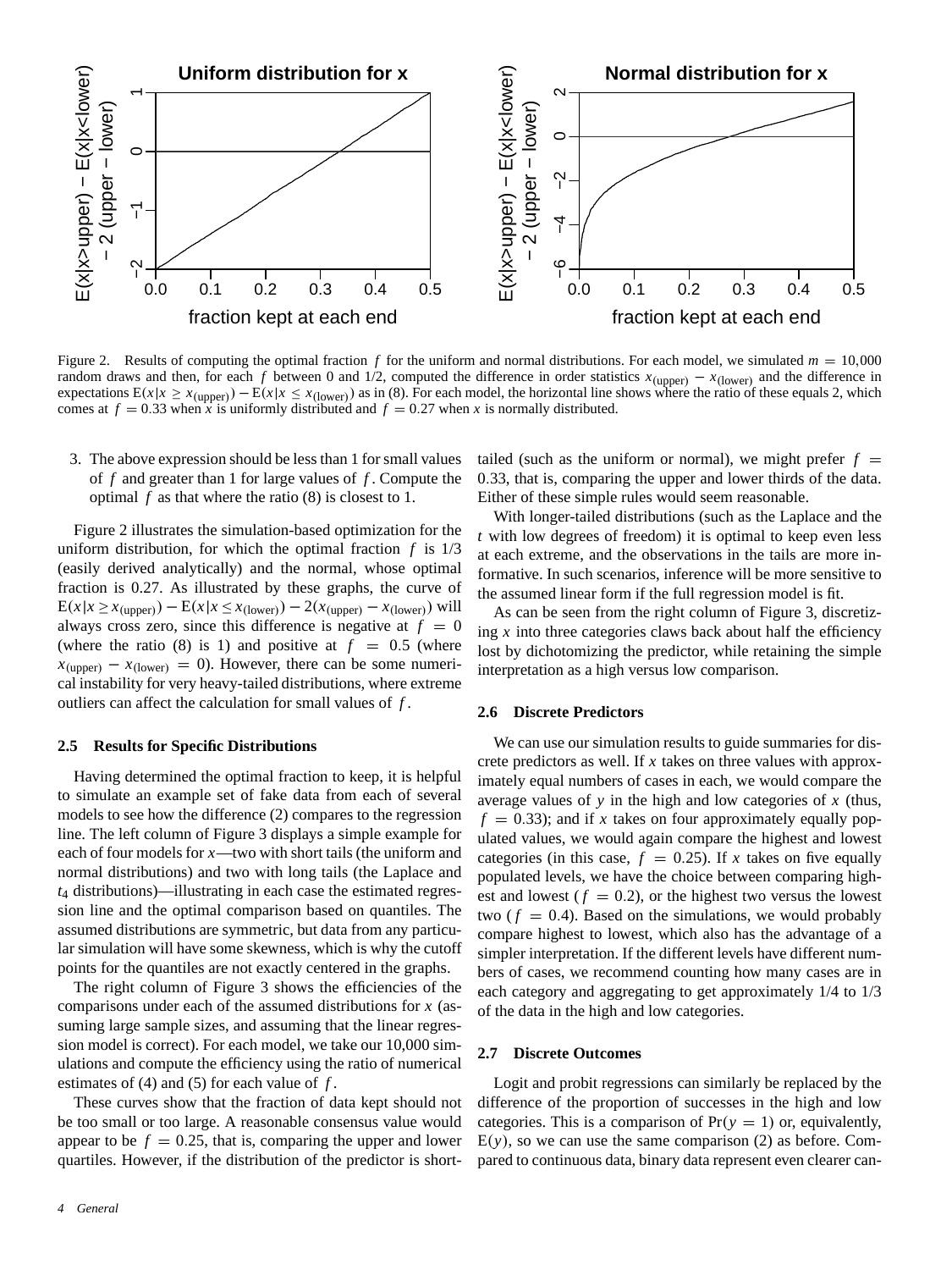

Figure 2. Results of computing the optimal fraction  $f$  for the uniform and normal distributions. For each model, we simulated  $m = 10,000$ random draws and then, for each *f* between 0 and 1/2, computed the difference in order statistics  $x_{\text{(upper)}} - x_{\text{(lower)}}$  and the difference in expectations  $E(x|x \ge x_{\text{(upper)}}) - E(x|x \le x_{\text{(lower)}})$  as in (8). For each model, the horizontal line shows where the ratio of these equals 2, which comes at  $f = 0.33$  when *x* is uniformly distributed and  $f = 0.27$  when *x* is normally distributed.

3. The above expression should be less than 1 for small values of *f* and greater than 1 for large values of *f* . Compute the optimal *f* as that where the ratio (8) is closest to 1.

Figure 2 illustrates the simulation-based optimization for the uniform distribution, for which the optimal fraction *f* is 1/3 (easily derived analytically) and the normal, whose optimal fraction is 0.27. As illustrated by these graphs, the curve of  $E(x|x \geq x_{\text{(upper)}}) - E(x|x \leq x_{\text{(lower)}}) - 2(x_{\text{(upper)}} - x_{\text{(lower)}})$  will always cross zero, since this difference is negative at  $f = 0$ (where the ratio  $(8)$  is 1) and positive at  $f = 0.5$  (where  $x_{\text{(upper)}} - x_{\text{(lower)}} = 0$ . However, there can be some numerical instability for very heavy-tailed distributions, where extreme outliers can affect the calculation for small values of *f* .

#### **2.5 Results for Specific Distributions**

Having determined the optimal fraction to keep, it is helpful to simulate an example set of fake data from each of several models to see how the difference (2) compares to the regression line. The left column of Figure 3 displays a simple example for each of four models for *x*—two with short tails (the uniform and normal distributions) and two with long tails (the Laplace and *t*<sup>4</sup> distributions)—illustrating in each case the estimated regression line and the optimal comparison based on quantiles. The assumed distributions are symmetric, but data from any particular simulation will have some skewness, which is why the cutoff points for the quantiles are not exactly centered in the graphs.

The right column of Figure 3 shows the efficiencies of the comparisons under each of the assumed distributions for *x* (assuming large sample sizes, and assuming that the linear regression model is correct). For each model, we take our 10,000 simulations and compute the efficiency using the ratio of numerical estimates of (4) and (5) for each value of *f* .

These curves show that the fraction of data kept should not be too small or too large. A reasonable consensus value would appear to be  $f = 0.25$ , that is, comparing the upper and lower quartiles. However, if the distribution of the predictor is shorttailed (such as the uniform or normal), we might prefer  $f =$ 0.33, that is, comparing the upper and lower thirds of the data. Either of these simple rules would seem reasonable.

With longer-tailed distributions (such as the Laplace and the *t* with low degrees of freedom) it is optimal to keep even less at each extreme, and the observations in the tails are more informative. In such scenarios, inference will be more sensitive to the assumed linear form if the full regression model is fit.

As can be seen from the right column of Figure 3, discretizing  $x$  into three categories claws back about half the efficiency lost by dichotomizing the predictor, while retaining the simple interpretation as a high versus low comparison.

## **2.6 Discrete Predictors**

We can use our simulation results to guide summaries for discrete predictors as well. If *x* takes on three values with approximately equal numbers of cases in each, we would compare the average values of *y* in the high and low categories of *x* (thus,  $f = 0.33$ ; and if x takes on four approximately equally populated values, we would again compare the highest and lowest categories (in this case,  $f = 0.25$ ). If *x* takes on five equally populated levels, we have the choice between comparing highest and lowest ( $f = 0.2$ ), or the highest two versus the lowest two  $(f = 0.4)$ . Based on the simulations, we would probably compare highest to lowest, which also has the advantage of a simpler interpretation. If the different levels have different numbers of cases, we recommend counting how many cases are in each category and aggregating to get approximately 1/4 to 1/3 of the data in the high and low categories.

#### **2.7 Discrete Outcomes**

Logit and probit regressions can similarly be replaced by the difference of the proportion of successes in the high and low categories. This is a comparison of  $Pr(y = 1)$  or, equivalently,  $E(y)$ , so we can use the same comparison (2) as before. Compared to continuous data, binary data represent even clearer can-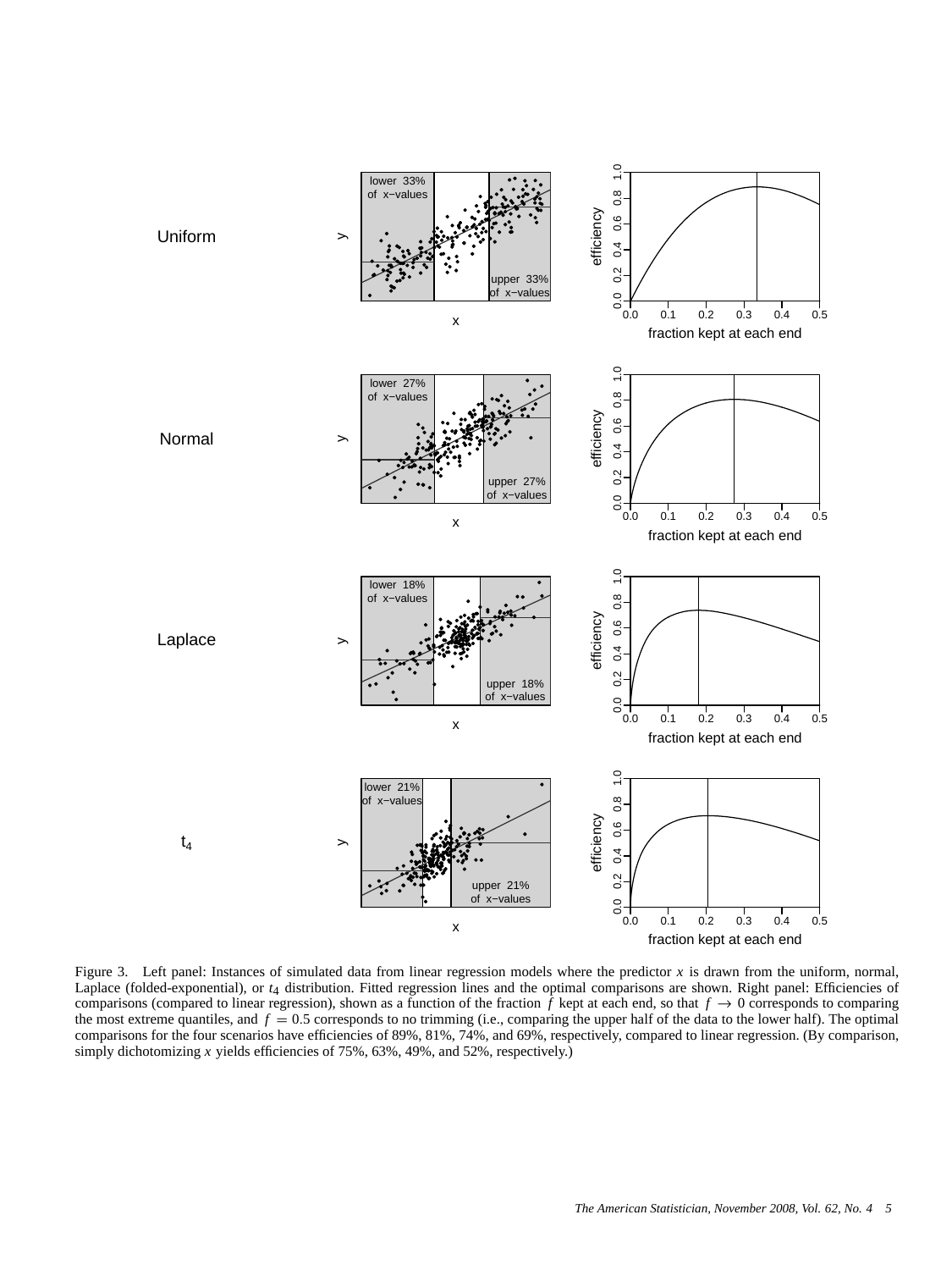

Figure 3. Left panel: Instances of simulated data from linear regression models where the predictor *x* is drawn from the uniform, normal, Laplace (folded-exponential), or  $t_4$  distribution. Fitted regression lines and the optimal comparisons are shown. Right panel: Efficiencies of comparisons (compared to linear regression), shown as a function of the fraction  $\tilde{f}$  kept at each end, so that  $f \to 0$  corresponds to comparing the most extreme quantiles, and  $f = 0.5$  corresponds to no trimming (i.e., comparing the upper half of the data to the lower half). The optimal comparisons for the four scenarios have efficiencies of 89%, 81%, 74%, and 69%, respectively, compared to linear regression. (By comparison, simply dichotomizing *x* yields efficiencies of 75%, 63%, 49%, and 52%, respectively.)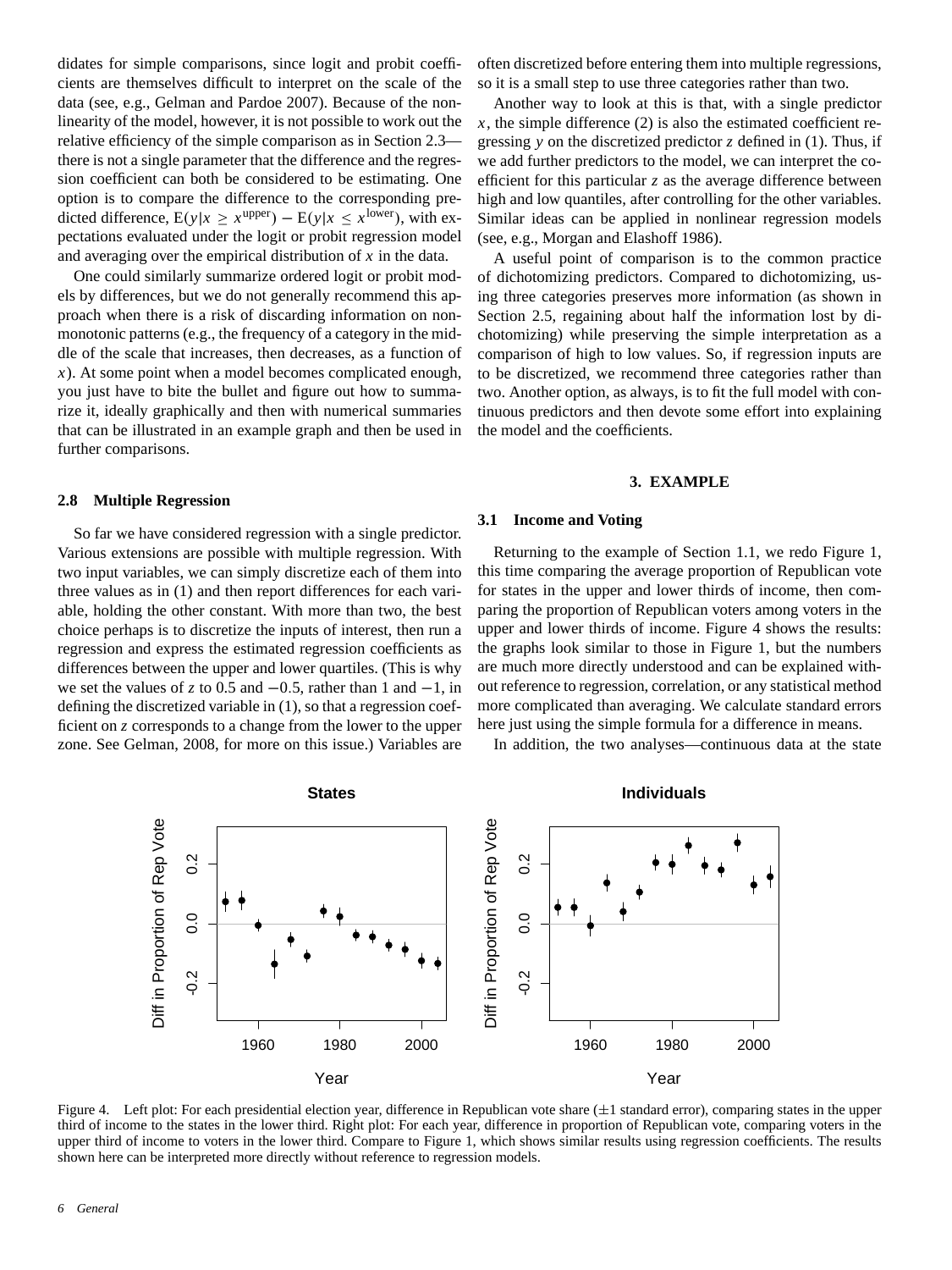didates for simple comparisons, since logit and probit coefficients are themselves difficult to interpret on the scale of the data (see, e.g., Gelman and Pardoe 2007). Because of the nonlinearity of the model, however, it is not possible to work out the relative efficiency of the simple comparison as in Section 2.3 there is not a single parameter that the difference and the regression coefficient can both be considered to be estimating. One option is to compare the difference to the corresponding predicted difference,  $E(y|x \ge x^{\text{upper}}) - E(y|x \le x^{\text{lower}})$ , with expectations evaluated under the logit or probit regression model and averaging over the empirical distribution of *x* in the data.

One could similarly summarize ordered logit or probit models by differences, but we do not generally recommend this approach when there is a risk of discarding information on nonmonotonic patterns (e.g., the frequency of a category in the middle of the scale that increases, then decreases, as a function of *x*). At some point when a model becomes complicated enough, you just have to bite the bullet and figure out how to summarize it, ideally graphically and then with numerical summaries that can be illustrated in an example graph and then be used in further comparisons.

#### **2.8 Multiple Regression**

So far we have considered regression with a single predictor. Various extensions are possible with multiple regression. With two input variables, we can simply discretize each of them into three values as in (1) and then report differences for each variable, holding the other constant. With more than two, the best choice perhaps is to discretize the inputs of interest, then run a regression and express the estimated regression coefficients as differences between the upper and lower quartiles. (This is why we set the values of *z* to 0.5 and  $-0.5$ , rather than 1 and  $-1$ , in defining the discretized variable in (1), so that a regression coefficient on *z* corresponds to a change from the lower to the upper zone. See Gelman, 2008, for more on this issue.) Variables are

often discretized before entering them into multiple regressions, so it is a small step to use three categories rather than two.

Another way to look at this is that, with a single predictor  $x$ , the simple difference (2) is also the estimated coefficient regressing *y* on the discretized predictor *z* defined in (1). Thus, if we add further predictors to the model, we can interpret the coefficient for this particular *z* as the average difference between high and low quantiles, after controlling for the other variables. Similar ideas can be applied in nonlinear regression models (see, e.g., Morgan and Elashoff 1986).

A useful point of comparison is to the common practice of dichotomizing predictors. Compared to dichotomizing, using three categories preserves more information (as shown in Section 2.5, regaining about half the information lost by dichotomizing) while preserving the simple interpretation as a comparison of high to low values. So, if regression inputs are to be discretized, we recommend three categories rather than two. Another option, as always, is to fit the full model with continuous predictors and then devote some effort into explaining the model and the coefficients.

#### **3. EXAMPLE**

## **3.1 Income and Voting**

Returning to the example of Section 1.1, we redo Figure 1, this time comparing the average proportion of Republican vote for states in the upper and lower thirds of income, then comparing the proportion of Republican voters among voters in the upper and lower thirds of income. Figure 4 shows the results: the graphs look similar to those in Figure 1, but the numbers are much more directly understood and can be explained without reference to regression, correlation, or any statistical method more complicated than averaging. We calculate standard errors here just using the simple formula for a difference in means.

In addition, the two analyses—continuous data at the state



Figure 4. Left plot: For each presidential election year, difference in Republican vote share  $(\pm 1)$  standard error), comparing states in the upper third of income to the states in the lower third. Right plot: For each year, difference in proportion of Republican vote, comparing voters in the upper third of income to voters in the lower third. Compare to Figure 1, which shows similar results using regression coefficients. The results shown here can be interpreted more directly without reference to regression models.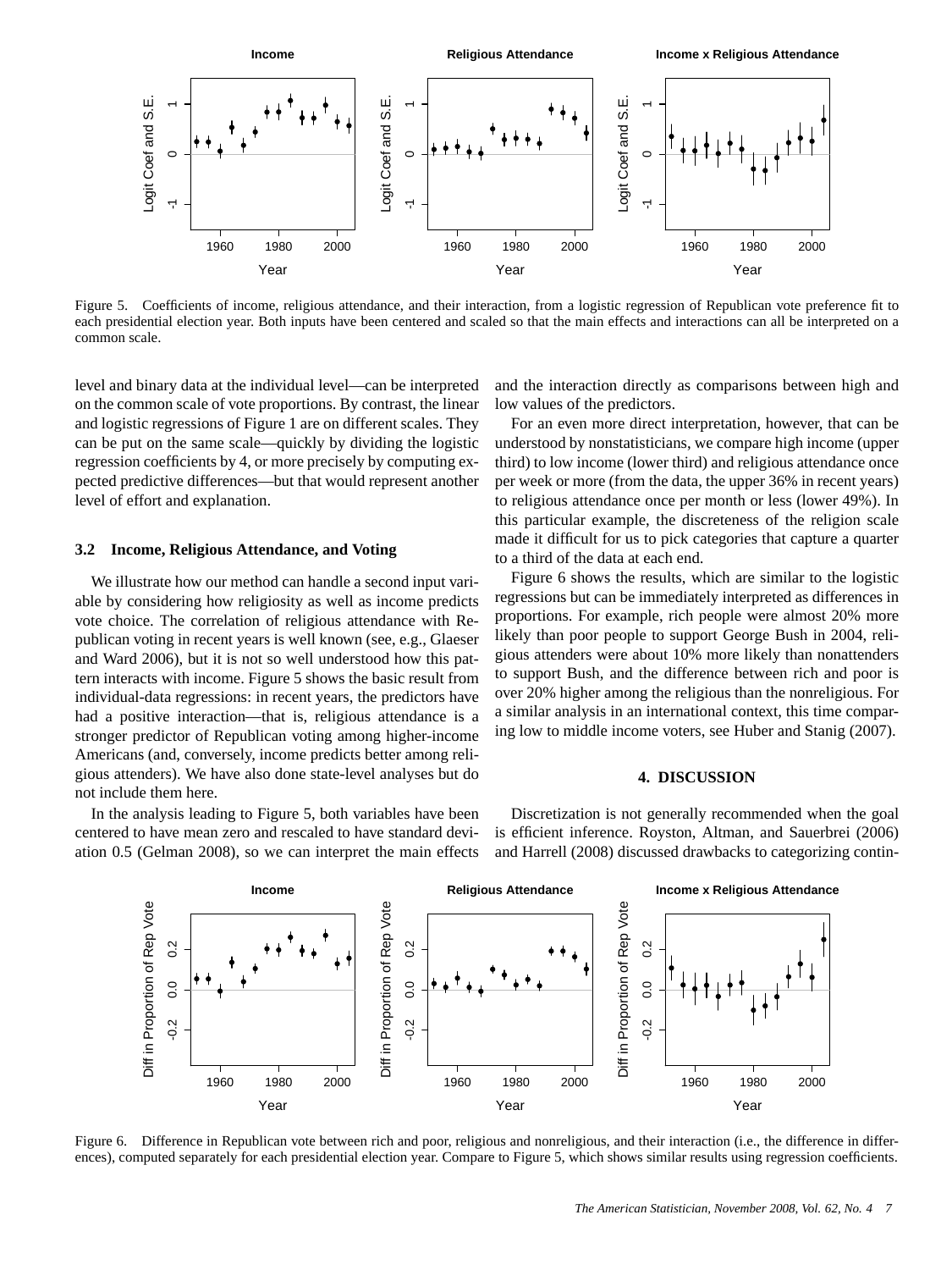

Figure 5. Coefficients of income, religious attendance, and their interaction, from a logistic regression of Republican vote preference fit to each presidential election year. Both inputs have been centered and scaled so that the main effects and interactions can all be interpreted on a common scale.

level and binary data at the individual level—can be interpreted on the common scale of vote proportions. By contrast, the linear and logistic regressions of Figure 1 are on different scales. They can be put on the same scale—quickly by dividing the logistic regression coefficients by 4, or more precisely by computing expected predictive differences—but that would represent another level of effort and explanation.

## **3.2 Income, Religious Attendance, and Voting**

We illustrate how our method can handle a second input variable by considering how religiosity as well as income predicts vote choice. The correlation of religious attendance with Republican voting in recent years is well known (see, e.g., Glaeser and Ward 2006), but it is not so well understood how this pattern interacts with income. Figure 5 shows the basic result from individual-data regressions: in recent years, the predictors have had a positive interaction—that is, religious attendance is a stronger predictor of Republican voting among higher-income Americans (and, conversely, income predicts better among religious attenders). We have also done state-level analyses but do not include them here.

In the analysis leading to Figure 5, both variables have been centered to have mean zero and rescaled to have standard deviation 0.5 (Gelman 2008), so we can interpret the main effects and the interaction directly as comparisons between high and low values of the predictors.

For an even more direct interpretation, however, that can be understood by nonstatisticians, we compare high income (upper third) to low income (lower third) and religious attendance once per week or more (from the data, the upper 36% in recent years) to religious attendance once per month or less (lower 49%). In this particular example, the discreteness of the religion scale made it difficult for us to pick categories that capture a quarter to a third of the data at each end.

Figure 6 shows the results, which are similar to the logistic regressions but can be immediately interpreted as differences in proportions. For example, rich people were almost 20% more likely than poor people to support George Bush in 2004, religious attenders were about 10% more likely than nonattenders to support Bush, and the difference between rich and poor is over 20% higher among the religious than the nonreligious. For a similar analysis in an international context, this time comparing low to middle income voters, see Huber and Stanig (2007).

#### **4. DISCUSSION**

Discretization is not generally recommended when the goal is efficient inference. Royston, Altman, and Sauerbrei (2006) and Harrell (2008) discussed drawbacks to categorizing contin-



Figure 6. Difference in Republican vote between rich and poor, religious and nonreligious, and their interaction (i.e., the difference in differences), computed separately for each presidential election year. Compare to Figure 5, which shows similar results using regression coefficients.